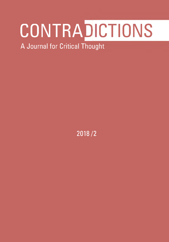# **c o n t r a EICTIONS**

A Journal for Critical Thought

2018/2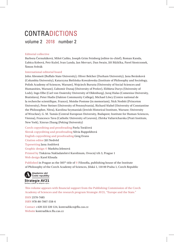# CONTRADICTIONS

volume 2 2018 number 2

#### Editorial collective

Barbora Černušáková, Miloš Caňko, Joseph Grim Feinberg (editor-in-chief), Roman Kanda, Ľubica Kobová, Petr Kužel, Ivan Landa, Jan Mervart, Dan Swain, Jiří Růžička, Pavel Siostrzonek, Šimon Svěrák

#### International editorial board

John Abromeit (Buffalo State University), Oliver Belcher (Durham University), Jana Beránková (Columbia University), Katarzyna Bielińska-Kowalewska (Institute of Philosophy and Sociology, Polish Academy of Sciences, Warsaw), Wojciech Burszta (University of Social Sciences and Humanities, Warsaw), Ľubomír Dunaj (University of Prešov), Elżbieta Durys (University of Lodz), Ingo Elbe (Carl von Ossietzky University of Oldenburg), Juraj Halas (Comenius University, Bratislava), Peter Hudis (Oakton Community College), Michael Löwy (Centre national de la recherche scientifique, France), Moishe Postone (in memoriam), Nick Nesbitt (Princeton University), Peter Steiner (University of Pennsylvania), Richard Sťahel (University of Constantine the Philosopher, Nitra), Karolina Szymaniak (Jewish Historical Institute, Warsaw; University of Wrocław), G. M. Tamás (Central European University, Budapest; Institute for Human Sciences, Vienna), Francesco Tava (Catholic University of Leuven), Zhivka Valiavicharska (Pratt Institute, New York), Xinruo Zhang (Peking University)

Czech copyediting and proofreading Pavla Toráčová Slovak copyediting and proofreading Silvia Ruppeldtová English copyediting and proofreading Greg Evans Citation editor Iiří Nedvěd Typesetting Jana Andrlová Graphic design © Markéta Jelenová Printed by Tiskárna Nakladatelství Karolinum, Ovocný trh 3, Prague 1 Web design Karel Klouda

Published in Prague as the  $505<sup>th</sup>$  title of  $\odot$  Filosofia, publishing house of the Institute of Philosophy of the Czech Academy of Sciences, Jilská 1, 110 00 Praha 1, Czech Republic



e veřejném zájmu

This volume appears with financial support from the Publishing Commission of the Czech Academy of Sciences and the research program Strategie AV21, "Europe and the State."

ISSN 2570-7485 ISBN 978-80-7007-558-6

Contact +420 222 220 124, kontradikce@flu.cas.cz Website kontradikce.flu.cas.cz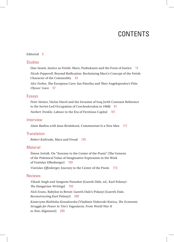# CONTENTS

#### Editorial 5

### **Studies**

*Dan Swain*, Justice as Fetish: Marx, Pashukanis and the Form of Justice 13 *Nicole Pepperell*, Beyond Reification: Reclaiming Marx's Concept of the Fetish Character of the Commodity 33

*Alex Forbes*, The European Cave: Jan Patočka and Theo Angelopoulos's Film *Ulysses' Gaze* 57

#### Essays

*Peter Steiner*, Václav Havel and the Invasion of Iraq (with Constant Reference to the Soviet-Led Occupation of Czechoslovakia in 1968) 81 *Norbert Trenkle*, Labour in the Era of Fictitious Capital 101

#### **Interview**

*Alain Badiou with Jana Beránková*, Communism Is a New Idea 117

## **Translation**

*Robert Kalivoda*, Marx and Freud 135

## **Material**

*Šimon Svěrák*, On "Journey to the Center of the Poem" (The Genesis of the Polemical Value of Imaginative Expression in the Work of Vratislav Effenberger) 159

*Vratislav Effenberger*, Journey to the Center of the Poem 173

#### Reviews

*Vikash Singh and Sangeeta Parashar* (Gareth Dále, ed., Karl Polanyi: *The Hungarian Writings*) 193 *Nick Evans*, Babylon to Brexit: Gareth Dale's Polanyi (Gareth Dale, *Reconstructing Karl Polanyi*) 200 Katarzyna Bielińska-Kowalewska (Vladimir Unkovski-Korica, *The Economic Struggle for Power in Tito's Yugoslavia: From World War II to Non-Alignment*) 205